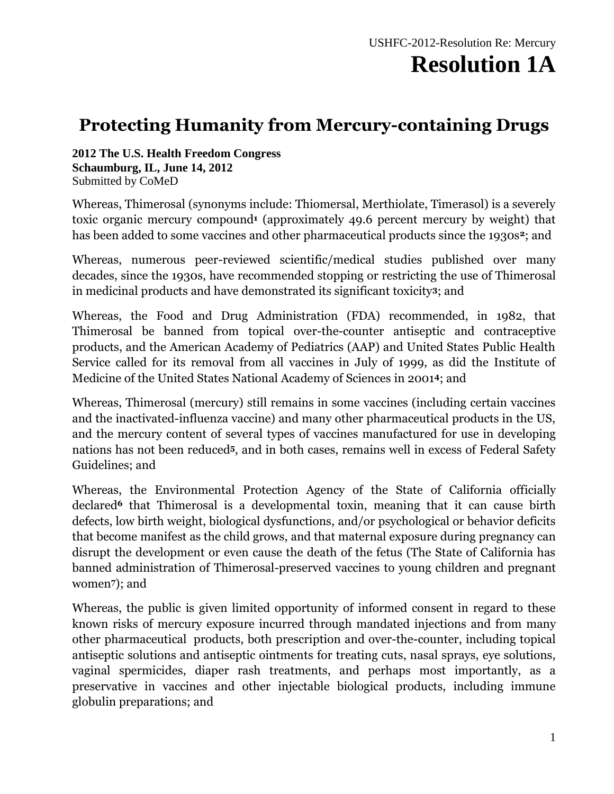#### **Protecting Humanity from Mercury-containing Drugs**

**2012 The U.S. Health Freedom Congress Schaumburg, IL, June 14, 2012** Submitted by CoMeD

Whereas, Thimerosal (synonyms include: Thiomersal, Merthiolate, Timerasol) is a severely toxic organic mercury compound**<sup>1</sup>** (approximately 49.6 percent mercury by weight) that has been added to some vaccines and other pharmaceutical products since the 1930s**2**; and

Whereas, numerous peer-reviewed scientific/medical studies published over many decades, since the 1930s, have recommended stopping or restricting the use of Thimerosal in medicinal products and have demonstrated its significant toxicity**3**; and

Whereas, the Food and Drug Administration (FDA) recommended, in 1982, that Thimerosal be banned from topical over-the-counter antiseptic and contraceptive products, and the American Academy of Pediatrics (AAP) and United States Public Health Service called for its removal from all vaccines in July of 1999, as did the Institute of Medicine of the United States National Academy of Sciences in 2001**4**; and

Whereas, Thimerosal (mercury) still remains in some vaccines (including certain vaccines and the inactivated-influenza vaccine) and many other pharmaceutical products in the US, and the mercury content of several types of vaccines manufactured for use in developing nations has not been reduced**5**, and in both cases, remains well in excess of Federal Safety Guidelines; and

Whereas, the Environmental Protection Agency of the State of California officially declared**<sup>6</sup>** that Thimerosal is a developmental toxin, meaning that it can cause birth defects, low birth weight, biological dysfunctions, and/or psychological or behavior deficits that become manifest as the child grows, and that maternal exposure during pregnancy can disrupt the development or even cause the death of the fetus (The State of California has banned administration of Thimerosal-preserved vaccines to young children and pregnant women**7**); and

Whereas, the public is given limited opportunity of informed consent in regard to these known risks of mercury exposure incurred through mandated injections and from many other pharmaceutical products, both prescription and over-the-counter, including topical antiseptic solutions and antiseptic ointments for treating cuts, nasal sprays, eye solutions, vaginal spermicides, diaper rash treatments, and perhaps most importantly, as a preservative in vaccines and other injectable biological products, including immune globulin preparations; and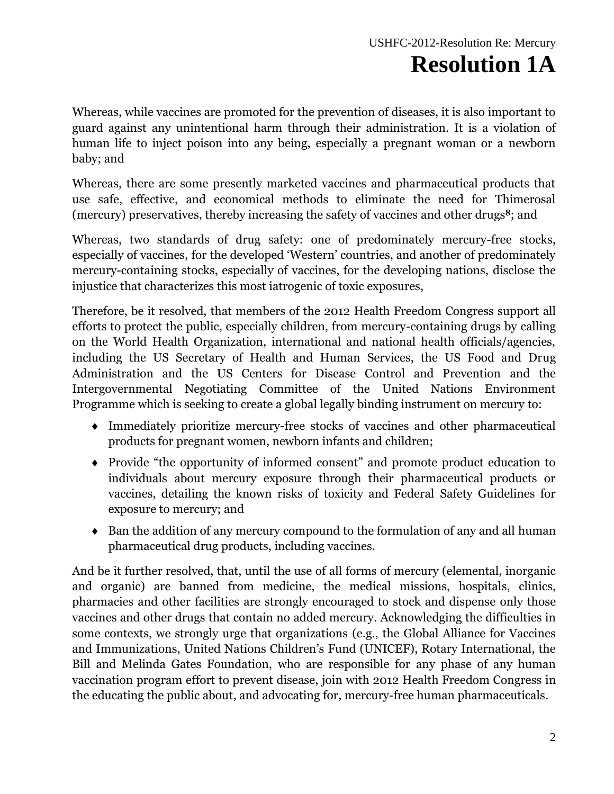Whereas, while vaccines are promoted for the prevention of diseases, it is also important to guard against any unintentional harm through their administration. It is a violation of human life to inject poison into any being, especially a pregnant woman or a newborn baby; and

Whereas, there are some presently marketed vaccines and pharmaceutical products that use safe, effective, and economical methods to eliminate the need for Thimerosal (mercury) preservatives, thereby increasing the safety of vaccines and other drugs**8**; and

Whereas, two standards of drug safety: one of predominately mercury-free stocks, especially of vaccines, for the developed 'Western' countries, and another of predominately mercury-containing stocks, especially of vaccines, for the developing nations, disclose the injustice that characterizes this most iatrogenic of toxic exposures,

Therefore, be it resolved, that members of the 2012 Health Freedom Congress support all efforts to protect the public, especially children, from mercury-containing drugs by calling on the World Health Organization, international and national health officials/agencies, including the US Secretary of Health and Human Services, the US Food and Drug Administration and the US Centers for Disease Control and Prevention and the Intergovernmental Negotiating Committee of the United Nations Environment Programme which is seeking to create a global legally binding instrument on mercury to:

- Immediately prioritize mercury-free stocks of vaccines and other pharmaceutical products for pregnant women, newborn infants and children;
- Provide "the opportunity of informed consent" and promote product education to individuals about mercury exposure through their pharmaceutical products or vaccines, detailing the known risks of toxicity and Federal Safety Guidelines for exposure to mercury; and
- Ban the addition of any mercury compound to the formulation of any and all human pharmaceutical drug products, including vaccines.

And be it further resolved, that, until the use of all forms of mercury (elemental, inorganic and organic) are banned from medicine, the medical missions, hospitals, clinics, pharmacies and other facilities are strongly encouraged to stock and dispense only those vaccines and other drugs that contain no added mercury. Acknowledging the difficulties in some contexts, we strongly urge that organizations (e.g., the Global Alliance for Vaccines and Immunizations, United Nations Children's Fund (UNICEF), Rotary International, the Bill and Melinda Gates Foundation, who are responsible for any phase of any human vaccination program effort to prevent disease, join with 2012 Health Freedom Congress in the educating the public about, and advocating for, mercury-free human pharmaceuticals.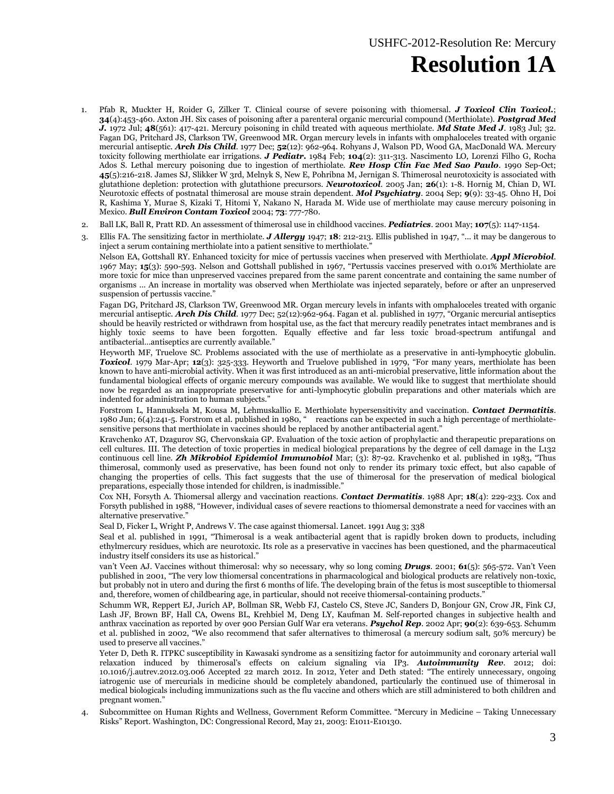- 1. Pfab R, Muckter H, Roider G, Zilker T. Clinical course of severe poisoning with thiomersal. *J Toxicol Clin Toxicol.*; **34**(4):453-460. Axton JH. Six cases of poisoning after a parenteral organic mercurial compound (Merthiolate). *Postgrad Med J.* 1972 Jul; **48**(561): 417-421. Mercury poisoning in child treated with aqueous merthiolate. *Md State Med J*. 1983 Jul; 32. Fagan DG, Pritchard JS, Clarkson TW, Greenwood MR. Organ mercury levels in infants with omphaloceles treated with organic mercurial antiseptic. *Arch Dis Child*. 1977 Dec; **52**(12): 962-964. Rohyans J, Walson PD, Wood GA, MacDonald WA. Mercury toxicity following merthiolate ear irrigations. *J Pediatr.* 1984 Feb; **104**(2): 311-313. Nascimento LO, Lorenzi Filho G, Rocha Ados S. Lethal mercury poisoning due to ingestion of merthiolate. *Rev Hosp Clin Fac Med Sao Paulo*. 1990 Sep-Oct; **45**(5):216-218. James SJ, Slikker W 3rd, Melnyk S, New E, Pohribna M, Jernigan S. Thimerosal neurotoxicity is associated with glutathione depletion: protection with glutathione precursors. *Neurotoxicol*. 2005 Jan; **26**(1): 1-8. Hornig M, Chian D, WI. Neurotoxic effects of postnatal thimerosal are mouse strain dependent. *Mol Psychiatry*. 2004 Sep; **9**(9): 33-45. Ohno H, Doi R, Kashima Y, Murae S, Kizaki T, Hitomi Y, Nakano N, Harada M. Wide use of merthiolate may cause mercury poisoning in Mexico. *Bull Environ Contam Toxicol* 2004; **73**: 777-780.
- 2. Ball LK, Ball R, Pratt RD. An assessment of thimerosal use in childhood vaccines. *Pediatrics*. 2001 May; **107**(5): 1147-1154.
- 3. Ellis FA. The sensitizing factor in merthiolate. *J Allergy* 1947; **18**: 212-213. Ellis published in 1947, "... it may be dangerous to inject a serum containing merthiolate into a patient sensitive to merthiolate.<sup>"</sup>

Nelson EA, Gottshall RY. Enhanced toxicity for mice of pertussis vaccines when preserved with Merthiolate. *Appl Microbiol*. 1967 May; **15**(3): 590-593. Nelson and Gottshall published in 1967, "Pertussis vaccines preserved with 0.01% Merthiolate are more toxic for mice than unpreserved vaccines prepared from the same parent concentrate and containing the same number of organisms ... An increase in mortality was observed when Merthiolate was injected separately, before or after an unpreserved suspension of pertussis vaccine."

Fagan DG, Pritchard JS, Clarkson TW, Greenwood MR. Organ mercury levels in infants with omphaloceles treated with organic mercurial antiseptic. *Arch Dis Child*. 1977 Dec; 52(12):962-964. Fagan et al. published in 1977, "Organic mercurial antiseptics should be heavily restricted or withdrawn from hospital use, as the fact that mercury readily penetrates intact membranes and is highly toxic seems to have been forgotten. Equally effective and far less toxic broad-spectrum antifungal and antibacterial…antiseptics are currently available."

Heyworth MF, Truelove SC. Problems associated with the use of merthiolate as a preservative in anti-lymphocytic globulin. *Toxicol*. 1979 Mar-Apr; **12**(3): 325-333. Heyworth and Truelove published in 1979, "For many years, merthiolate has been known to have anti-microbial activity. When it was first introduced as an anti-microbial preservative, little information about the fundamental biological effects of organic mercury compounds was available. We would like to suggest that merthiolate should now be regarded as an inappropriate preservative for anti-lymphocytic globulin preparations and other materials which are indented for administration to human subjects."

Forstrom L, Hannuksela M, Kousa M, Lehmuskallio E. Merthiolate hypersensitivity and vaccination. *Contact Dermatitis*. 1980 Jun; 6(4):241-5. Forstrom et al. published in 1980, " reactions can be expected in such a high percentage of merthiolatesensitive persons that merthiolate in vaccines should be replaced by another antibacterial agent."

Kravchenko AT, Dzagurov SG, Chervonskaia GP. Evaluation of the toxic action of prophylactic and therapeutic preparations on cell cultures. III. The detection of toxic properties in medical biological preparations by the degree of cell damage in the L132 continuous cell line. *Zh Mikrobiol Epidemiol Immunobiol* Mar; (3): 87-92. Kravchenko et al. published in 1983, "Thus thimerosal, commonly used as preservative, has been found not only to render its primary toxic effect, but also capable of changing the properties of cells. This fact suggests that the use of thimerosal for the preservation of medical biological preparations, especially those intended for children, is inadmissible."

Cox NH, Forsyth A. Thiomersal allergy and vaccination reactions. *Contact Dermatitis*. 1988 Apr; **18**(4): 229-233. Cox and Forsyth published in 1988, "However, individual cases of severe reactions to thiomersal demonstrate a need for vaccines with an alternative preservative."

Seal D, Ficker L, Wright P, Andrews V. The case against thiomersal. Lancet. 1991 Aug 3; 338

Seal et al. published in 1991, "Thimerosal is a weak antibacterial agent that is rapidly broken down to products, including ethylmercury residues, which are neurotoxic. Its role as a preservative in vaccines has been questioned, and the pharmaceutical industry itself considers its use as historical."

van't Veen AJ. Vaccines without thimerosal: why so necessary, why so long coming *Drugs*. 2001; **61**(5): 565-572. Van't Veen published in 2001, "The very low thiomersal concentrations in pharmacological and biological products are relatively non-toxic, but probably not in utero and during the first 6 months of life. The developing brain of the fetus is most susceptible to thiomersal and, therefore, women of childbearing age, in particular, should not receive thiomersal-containing products."

Schumm WR, Reppert EJ, Jurich AP, Bollman SR, Webb FJ, Castelo CS, Steve JC, Sanders D, Bonjour GN, Crow JR, Fink CJ, Lash JF, Brown BF, Hall CA, Owens BL, Krehbiel M, Deng LY, Kaufman M. Self-reported changes in subjective health and anthrax vaccination as reported by over 900 Persian Gulf War era veterans. *Psychol Rep*. 2002 Apr; **90**(2): 639-653. Schumm et al. published in 2002, "We also recommend that safer alternatives to thimerosal (a mercury sodium salt, 50% mercury) be used to preserve all vaccines."

Yeter D, Deth R. ITPKC susceptibility in Kawasaki syndrome as a sensitizing factor for autoimmunity and coronary arterial wall relaxation induced by thimerosal's effects on calcium signaling via IP3. *Autoimmunity Rev*. 2012; doi: 10.1016/j.autrev.2012.03.006 Accepted 22 march 2012. In 2012, Yeter and Deth stated: "The entirely unnecessary, ongoing iatrogenic use of mercurials in medicine should be completely abandoned, particularly the continued use of thimerosal in medical biologicals including immunizations such as the flu vaccine and others which are still administered to both children and pregnant women."

4. Subcommittee on Human Rights and Wellness, Government Reform Committee. "Mercury in Medicine – Taking Unnecessary Risks" Report. Washington, DC: Congressional Record, May 21, 2003: E1011-E10130.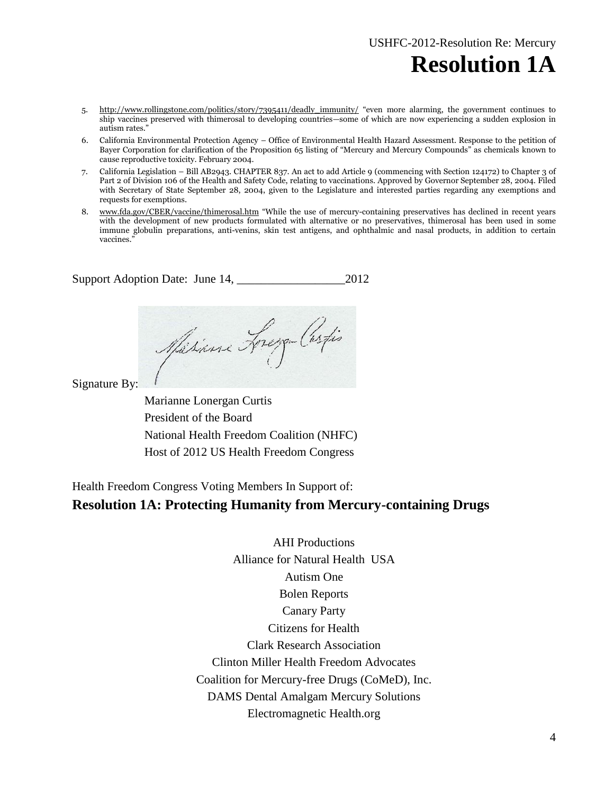- 5. [http://www.rollingstone.com/politics/story/7395411/deadly\\_immunity/](http://www.rollingstone.com/politics/story/7395411/deadly_immunity/) "even more alarming, the government continues to ship vaccines preserved with thimerosal to developing countries—some of which are now experiencing a sudden explosion in autism rates."
- 6. California Environmental Protection Agency Office of Environmental Health Hazard Assessment. Response to the petition of Bayer Corporation for clarification of the Proposition 65 listing of "Mercury and Mercury Compounds" as chemicals known to cause reproductive toxicity. February 2004.
- 7. California Legislation Bill AB2943. CHAPTER 837. An act to add Article 9 (commencing with Section 124172) to Chapter 3 of Part 2 of Division 106 of the Health and Safety Code, relating to vaccinations. Approved by Governor September 28, 2004. Filed with Secretary of State September 28, 2004, given to the Legislature and interested parties regarding any exemptions and requests for exemptions.
- 8. [www.fda.gov/CBER/vaccine/thimerosal.htm](http://www.fda.gov/CBER/vaccine/thimerosal.htm) "While the use of mercury-containing preservatives has declined in recent years with the development of new products formulated with alternative or no preservatives, thimerosal has been used in some immune globulin preparations, anti-venins, skin test antigens, and ophthalmic and nasal products, in addition to certain vaccines."

Support Adoption Date: June 14, \_\_\_\_\_\_\_\_\_\_\_\_\_\_\_\_\_\_2012

Misione Frege Castis

Signature By:

Marianne Lonergan Curtis President of the Board National Health Freedom Coalition (NHFC) Host of 2012 US Health Freedom Congress

Health Freedom Congress Voting Members In Support of:

#### **Resolution 1A: Protecting Humanity from Mercury-containing Drugs**

AHI Productions Alliance for Natural Health USA Autism One Bolen Reports Canary Party Citizens for Health Clark Research Association Clinton Miller Health Freedom Advocates Coalition for Mercury-free Drugs (CoMeD), Inc. DAMS Dental Amalgam Mercury Solutions Electromagnetic Health.org